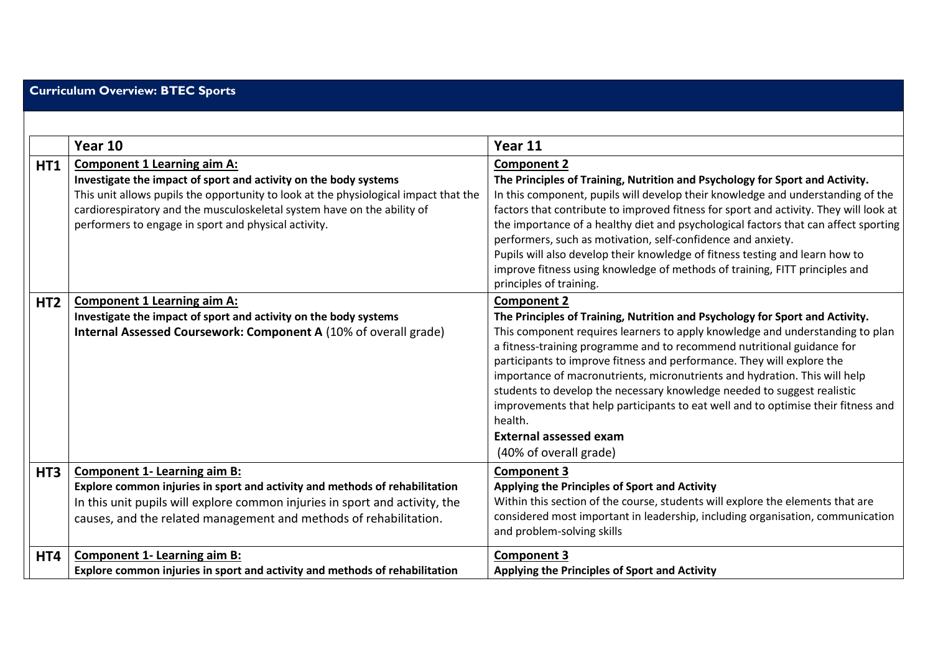## **Curriculum Overview: BTEC Sports**

|                 | Year 10                                                                                                                                                                                                                                                                                                                           | Year 11                                                                                                                                                                                                                                                                                                                                                                                                                                                                                                                                                                                                                                              |
|-----------------|-----------------------------------------------------------------------------------------------------------------------------------------------------------------------------------------------------------------------------------------------------------------------------------------------------------------------------------|------------------------------------------------------------------------------------------------------------------------------------------------------------------------------------------------------------------------------------------------------------------------------------------------------------------------------------------------------------------------------------------------------------------------------------------------------------------------------------------------------------------------------------------------------------------------------------------------------------------------------------------------------|
| <b>HT1</b>      | <b>Component 1 Learning aim A:</b><br>Investigate the impact of sport and activity on the body systems<br>This unit allows pupils the opportunity to look at the physiological impact that the<br>cardiorespiratory and the musculoskeletal system have on the ability of<br>performers to engage in sport and physical activity. | <b>Component 2</b><br>The Principles of Training, Nutrition and Psychology for Sport and Activity.<br>In this component, pupils will develop their knowledge and understanding of the<br>factors that contribute to improved fitness for sport and activity. They will look at<br>the importance of a healthy diet and psychological factors that can affect sporting<br>performers, such as motivation, self-confidence and anxiety.<br>Pupils will also develop their knowledge of fitness testing and learn how to<br>improve fitness using knowledge of methods of training, FITT principles and<br>principles of training.                      |
| HT <sub>2</sub> | <b>Component 1 Learning aim A:</b><br>Investigate the impact of sport and activity on the body systems<br>Internal Assessed Coursework: Component A (10% of overall grade)                                                                                                                                                        | <b>Component 2</b><br>The Principles of Training, Nutrition and Psychology for Sport and Activity.<br>This component requires learners to apply knowledge and understanding to plan<br>a fitness-training programme and to recommend nutritional guidance for<br>participants to improve fitness and performance. They will explore the<br>importance of macronutrients, micronutrients and hydration. This will help<br>students to develop the necessary knowledge needed to suggest realistic<br>improvements that help participants to eat well and to optimise their fitness and<br>health.<br>External assessed exam<br>(40% of overall grade) |
| HT <sub>3</sub> | <b>Component 1- Learning aim B:</b><br>Explore common injuries in sport and activity and methods of rehabilitation<br>In this unit pupils will explore common injuries in sport and activity, the<br>causes, and the related management and methods of rehabilitation.                                                            | <b>Component 3</b><br>Applying the Principles of Sport and Activity<br>Within this section of the course, students will explore the elements that are<br>considered most important in leadership, including organisation, communication<br>and problem-solving skills                                                                                                                                                                                                                                                                                                                                                                                |
| HT4             | <b>Component 1- Learning aim B:</b><br>Explore common injuries in sport and activity and methods of rehabilitation                                                                                                                                                                                                                | <b>Component 3</b><br>Applying the Principles of Sport and Activity                                                                                                                                                                                                                                                                                                                                                                                                                                                                                                                                                                                  |